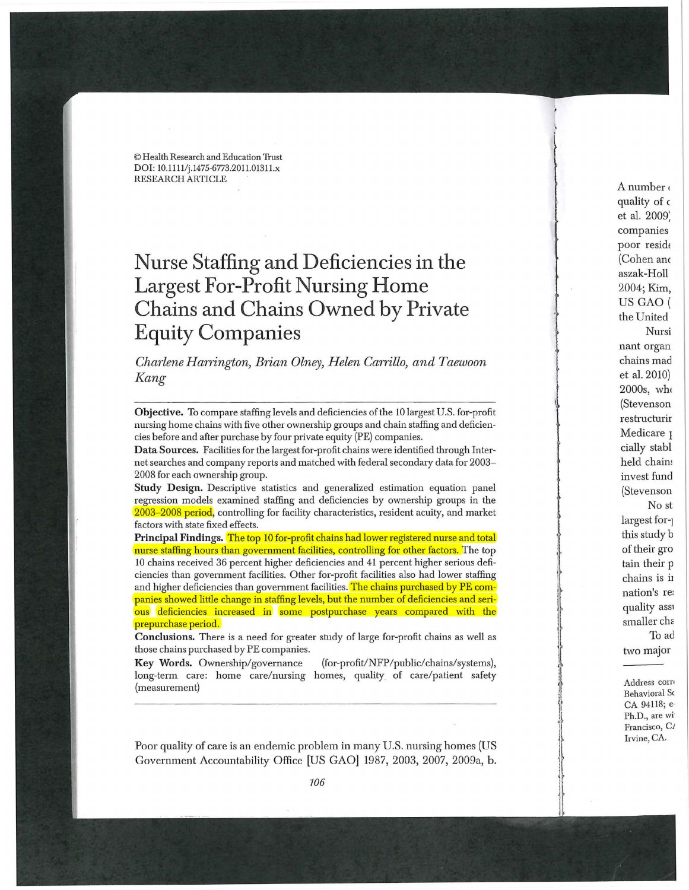© Health Research and Education Trust DOI: 10.1111/j.1475-6773.2011.01311.x RESEARCH ARTICLE

## **Nurse Staffing and Deficiencies in the Largest For-Profit Nursing Home Chains and Chains Owned by Private Equity Companies**

## *Charlene Harrington, Brian Olney, Helen Carrillo, and Taewoon Kang*

Objective. To compare staffing levels and deficiencies of the 10 largest U.S. for-profit nursing home chains with five other ownership groups and chain staffing and deficiencies before and after purchase by four private equity (PE) companies.

Data Sources. Facilities for the largest for-profit chains were identifi ed through Internet searches and company reports and matched with federal secondary data for 2003- 2008 for each ownership group.

Study Design. Descriptive statistics and generalized estimation equation panel regression models examined staffing and deficiencies by ownership groups in the 2003-2008 period, controlling for facility characteristics, resident acuity, and market factors with state fixed effects.

Principal Findings. <mark>The top 10 for-profit chains had lower registered nurse and total</mark> nurse staffing hours than government facilities, controlling for other factors. The top 10 chains received 36 perc ent higher deficiencies and 41 percent higher serious deficiencies than government facilities. Other for-profit facilities also had lower staffing and higher deficiencies than government facilities. <mark>The chains purchased by PE com-</mark> panies showed little change in staffing levels, but the number of deficiencies and serious deficiencies increased in some postpurchase years compared with the prepurchase period.

Conclusions. There is a need for greater study of large for-profit chains as well as those chains purchased by PE companies.

Key Words. Ownership/governance / NFP / public/chains/systems), long -term care: home care/nursing homes, qu ality of care / p atient safety (measurement)

Poor quality of care is an endemic problem in many U.S. nursing homes (US Governm ent Accountability Office [US GAO] 1987, 2003, 2007, 2009a, b.

A number quality of c et al. 2009: companies poor reside (Cohen anc aszak-Holl 2004; Kim, US GAO ( the United Nursi nant organ chains mad et al. 2010) 2000s, who (Stevenson restructurir Medicare <sub>1</sub> cially stabl held chains invest fund (Stevenson No st largest for-] this study b of their gro tain their p chains is i1 nation's re: quality ass1 smaller chc: To ad two major

> Address corr• Behavior al S< CA 94118; e· Ph.D., are wi Francisco, C<sub>I</sub> Irvine, CA.